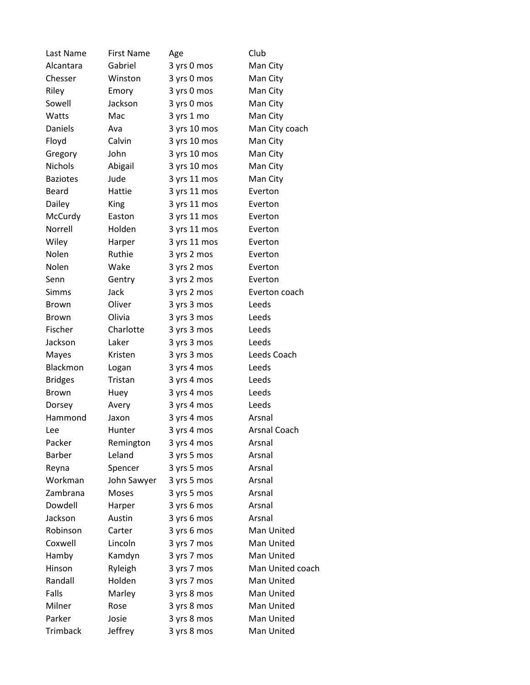| Last Name       | <b>First Name</b> | Age          | Club                |
|-----------------|-------------------|--------------|---------------------|
| Alcantara       | Gabriel           | 3 yrs 0 mos  | Man City            |
| Chesser         | Winston           | 3 yrs 0 mos  | Man City            |
| Riley           | Emory             | 3 yrs 0 mos  | Man City            |
| Sowell          | Jackson           | 3 yrs 0 mos  | Man City            |
| Watts           | Mac               | 3 yrs 1 mo   | Man City            |
| Daniels         | Ava               | 3 yrs 10 mos | Man City coach      |
| Floyd           | Calvin            | 3 yrs 10 mos | Man City            |
| Gregory         | John              | 3 yrs 10 mos | Man City            |
| <b>Nichols</b>  | Abigail           | 3 yrs 10 mos | Man City            |
| <b>Baziotes</b> | Jude              | 3 yrs 11 mos | Man City            |
| Beard           | Hattie            | 3 yrs 11 mos | Everton             |
| Dailey          | King              | 3 yrs 11 mos | Everton             |
| McCurdy         | Easton            | 3 yrs 11 mos | Everton             |
| Norrell         | Holden            | 3 yrs 11 mos | Everton             |
| Wiley           | Harper            | 3 yrs 11 mos | Everton             |
| Nolen           | Ruthie            | 3 yrs 2 mos  | Everton             |
| Nolen           | Wake              | 3 yrs 2 mos  | Everton             |
| Senn            | Gentry            | 3 yrs 2 mos  | Everton             |
| <b>Simms</b>    | Jack              | 3 yrs 2 mos  | Everton coach       |
| <b>Brown</b>    | Oliver            | 3 yrs 3 mos  | Leeds               |
| <b>Brown</b>    | Olivia            | 3 yrs 3 mos  | Leeds               |
| Fischer         | Charlotte         | 3 yrs 3 mos  | Leeds               |
| Jackson         | Laker             | 3 yrs 3 mos  | Leeds               |
| Mayes           | Kristen           | 3 yrs 3 mos  | Leeds Coach         |
| Blackmon        | Logan             | 3 yrs 4 mos  | Leeds               |
| <b>Bridges</b>  | Tristan           | 3 yrs 4 mos  | Leeds               |
| <b>Brown</b>    | Huey              | 3 yrs 4 mos  | Leeds               |
| Dorsey          | Avery             | 3 yrs 4 mos  | Leeds               |
| Hammond         | Jaxon             | 3 yrs 4 mos  | Arsnal              |
| Lee             | Hunter            | 3 yrs 4 mos  | <b>Arsnal Coach</b> |
| Packer          | Remington         | 3 yrs 4 mos  | Arsnal              |
| <b>Barber</b>   | Leland            | 3 yrs 5 mos  | Arsnal              |
| Reyna           | Spencer           | 3 yrs 5 mos  | Arsnal              |
| Workman         | John Sawyer       | 3 yrs 5 mos  | Arsnal              |
| Zambrana        | Moses             | 3 yrs 5 mos  | Arsnal              |
| Dowdell         | Harper            | 3 yrs 6 mos  | Arsnal              |
| Jackson         | Austin            | 3 yrs 6 mos  | Arsnal              |
| Robinson        | Carter            | 3 yrs 6 mos  | Man United          |
| Coxwell         | Lincoln           | 3 yrs 7 mos  | Man United          |
| Hamby           | Kamdyn            | 3 yrs 7 mos  | Man United          |
| Hinson          | Ryleigh           | 3 yrs 7 mos  | Man United coach    |
| Randall         | Holden            | 3 yrs 7 mos  | Man United          |
| Falls           | Marley            | 3 yrs 8 mos  | Man United          |
| Milner          | Rose              | 3 yrs 8 mos  | Man United          |
| Parker          | Josie             | 3 yrs 8 mos  | Man United          |
| <b>Trimback</b> | Jeffrey           | 3 yrs 8 mos  | Man United          |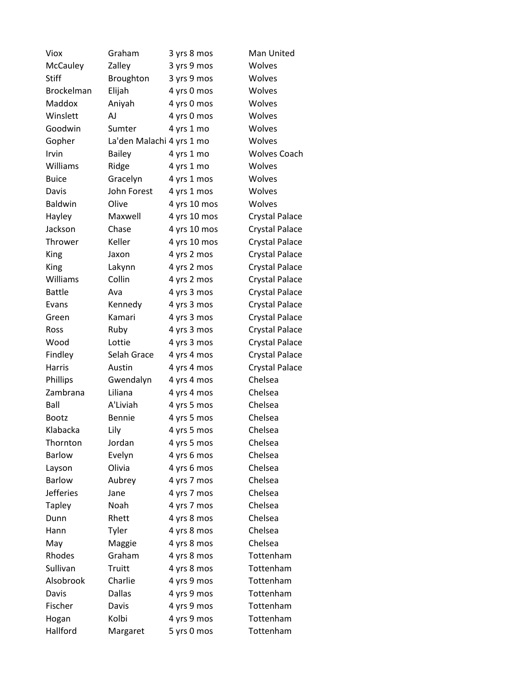| Viox             | Graham                    | 3 yrs 8 mos  | Man United            |
|------------------|---------------------------|--------------|-----------------------|
| McCauley         | Zalley                    | 3 yrs 9 mos  | Wolves                |
| <b>Stiff</b>     | Broughton                 | 3 yrs 9 mos  | Wolves                |
| Brockelman       | Elijah                    | 4 yrs 0 mos  | Wolves                |
| Maddox           | Aniyah                    | 4 yrs 0 mos  | Wolves                |
| Winslett         | AJ                        | 4 yrs 0 mos  | Wolves                |
| Goodwin          | Sumter                    | 4 yrs 1 mo   | Wolves                |
| Gopher           | La'den Malachi 4 yrs 1 mo |              | Wolves                |
| Irvin            | <b>Bailey</b>             | 4 yrs 1 mo   | <b>Wolves Coach</b>   |
| Williams         | Ridge                     | 4 yrs 1 mo   | Wolves                |
| <b>Buice</b>     | Gracelyn                  | 4 yrs 1 mos  | Wolves                |
| Davis            | John Forest               | 4 yrs 1 mos  | Wolves                |
| <b>Baldwin</b>   | Olive                     | 4 yrs 10 mos | Wolves                |
| Hayley           | Maxwell                   | 4 yrs 10 mos | Crystal Palace        |
| Jackson          | Chase                     | 4 yrs 10 mos | Crystal Palace        |
| Thrower          | Keller                    | 4 yrs 10 mos | Crystal Palace        |
| King             | Jaxon                     | 4 yrs 2 mos  | Crystal Palace        |
| King             | Lakynn                    | 4 yrs 2 mos  | <b>Crystal Palace</b> |
| Williams         | Collin                    | 4 yrs 2 mos  | Crystal Palace        |
| <b>Battle</b>    | Ava                       | 4 yrs 3 mos  | Crystal Palace        |
| Evans            | Kennedy                   | 4 yrs 3 mos  | <b>Crystal Palace</b> |
| Green            | Kamari                    | 4 yrs 3 mos  | <b>Crystal Palace</b> |
| Ross             | Ruby                      | 4 yrs 3 mos  | <b>Crystal Palace</b> |
| Wood             | Lottie                    | 4 yrs 3 mos  | <b>Crystal Palace</b> |
| Findley          | Selah Grace               | 4 yrs 4 mos  | Crystal Palace        |
| Harris           | Austin                    | 4 yrs 4 mos  | <b>Crystal Palace</b> |
| Phillips         | Gwendalyn                 | 4 yrs 4 mos  | Chelsea               |
| Zambrana         | Liliana                   | 4 yrs 4 mos  | Chelsea               |
| Ball             | A'Liviah                  | 4 yrs 5 mos  | Chelsea               |
| <b>Bootz</b>     | <b>Bennie</b>             | 4 yrs 5 mos  | Chelsea               |
| Klabacka         | Lily                      | 4 yrs 5 mos  | Chelsea               |
| Thornton         | Jordan                    | 4 yrs 5 mos  | Chelsea               |
| <b>Barlow</b>    | Evelyn                    | 4 yrs 6 mos  | Chelsea               |
| Layson           | Olivia                    | 4 yrs 6 mos  | Chelsea               |
| <b>Barlow</b>    | Aubrey                    | 4 yrs 7 mos  | Chelsea               |
| <b>Jefferies</b> | Jane                      | 4 yrs 7 mos  | Chelsea               |
| <b>Tapley</b>    | Noah                      | 4 yrs 7 mos  | Chelsea               |
| Dunn             | Rhett                     | 4 yrs 8 mos  | Chelsea               |
| Hann             | Tyler                     | 4 yrs 8 mos  | Chelsea               |
| May              | Maggie                    | 4 yrs 8 mos  | Chelsea               |
| Rhodes           | Graham                    | 4 yrs 8 mos  | Tottenham             |
| Sullivan         | Truitt                    | 4 yrs 8 mos  | Tottenham             |
| Alsobrook        | Charlie                   | 4 yrs 9 mos  | Tottenham             |
| Davis            | <b>Dallas</b>             | 4 yrs 9 mos  | Tottenham             |
| Fischer          | Davis                     | 4 yrs 9 mos  | Tottenham             |
| Hogan            | Kolbi                     | 4 yrs 9 mos  | Tottenham             |
| Hallford         | Margaret                  | 5 yrs 0 mos  | Tottenham             |